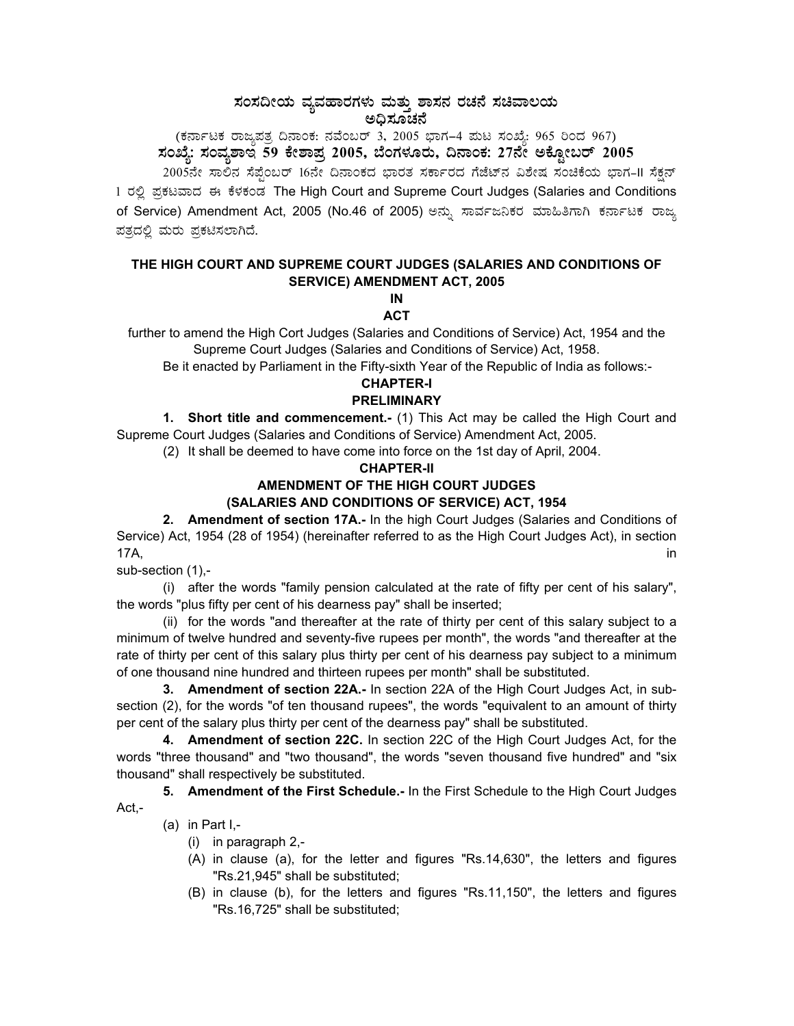# ಸಂಸದೀಯ ವ್ಯವಹಾರಗಳು ಮತ್ತು ಶಾಸನ ರಚನೆ ಸಚಿವಾಲಯ<br>ಅಧಿಸೂಚನೆ

(ಕರ್ನಾಟಕ ರಾಜ್ಯಪತ್ರ ದಿನಾಂಕ: ನವೆಂಬರ್ 3, 2005 ಭಾಗ–4 ಮಟ ಸಂಖ್ಯೆ: 965 ರಿಂದ 967) ಸಂಖ್ಯೆ: ಸಂವ್ನಶಾಇ 59 ಕೇಶಾಪ್ರ 2005, ಬೆಂಗಳೂರು, ದಿನಾಂಕ: 27ನೇ ಅಕ್ಟೋಬರ್ 2005

2005ನೇ ಸಾಲಿನ ಸೆಪ್ಟೆಂಬರ್ 16ನೇ ದಿನಾಂಕದ ಭಾರತ ಸರ್ಕಾರದ ಗೆಜೆಟ್**ನ ವಿಶೇಷ ಸಂಚಿಕೆಯ ಭಾಗ-II ಸೆಕ್ಷನ್** 1 ರಲ್ಲಿ ಪ್ರಕಟವಾದ ಈ ಕೆಳಕಂಡ The High Court and Supreme Court Judges (Salaries and Conditions of Service) Amendment Act, 2005 (No.46 of 2005) ಅನ್ನು ಸಾರ್ವಜನಿಕರ ಮಾಹಿತಿಗಾಗಿ ಕರ್ನಾಟಕ ರಾಜ್ಯ ಪತ್ರದಲ್ಲಿ ಮರು ಪ್ರಕಟಿಸಲಾಗಿದೆ.

## THE HIGH COURT AND SUPREME COURT JUDGES (SALARIES AND CONDITIONS OF **SERVICE) AMENDMENT ACT, 2005**

IN **ACT** 

further to amend the High Cort Judges (Salaries and Conditions of Service) Act, 1954 and the Supreme Court Judges (Salaries and Conditions of Service) Act, 1958.

Be it enacted by Parliament in the Fifty-sixth Year of the Republic of India as follows:-

#### **CHAPTER-I PRELIMINARY**

1. Short title and commencement.- (1) This Act may be called the High Court and Supreme Court Judges (Salaries and Conditions of Service) Amendment Act, 2005.

(2) It shall be deemed to have come into force on the 1st day of April, 2004.

## **CHAPTER-II**

# AMENDMENT OF THE HIGH COURT JUDGES

## **(SALARIES AND CONDITIONS OF SERVICE) ACT. 1954**

2. Amendment of section 17A.- In the high Court Judges (Salaries and Conditions of Service) Act, 1954 (28 of 1954) (hereinafter referred to as the High Court Judges Act), in section 17A. in

sub-section (1),-

(i) after the words "family pension calculated at the rate of fifty per cent of his salary", the words "plus fifty per cent of his dearness pay" shall be inserted;

(ii) for the words "and thereafter at the rate of thirty per cent of this salary subject to a minimum of twelve hundred and seventy-five rupees per month", the words "and thereafter at the rate of thirty per cent of this salary plus thirty per cent of his dearness pay subject to a minimum of one thousand nine hundred and thirteen rupees per month" shall be substituted.

3. Amendment of section 22A.- In section 22A of the High Court Judges Act, in subsection (2), for the words "of ten thousand rupees", the words "equivalent to an amount of thirty per cent of the salary plus thirty per cent of the dearness pay" shall be substituted.

4. Amendment of section 22C. In section 22C of the High Court Judges Act, for the words "three thousand" and "two thousand", the words "seven thousand five hundred" and "six thousand" shall respectively be substituted.

5. Amendment of the First Schedule.- In the First Schedule to the High Court Judges

Act.-

## (a) in Part  $I,-$

- $(i)$  in paragraph 2,-
- (A) in clause (a), for the letter and figures "Rs.14,630", the letters and figures "Rs.21,945" shall be substituted;
- (B) in clause (b), for the letters and figures "Rs.11,150", the letters and figures "Rs.16,725" shall be substituted;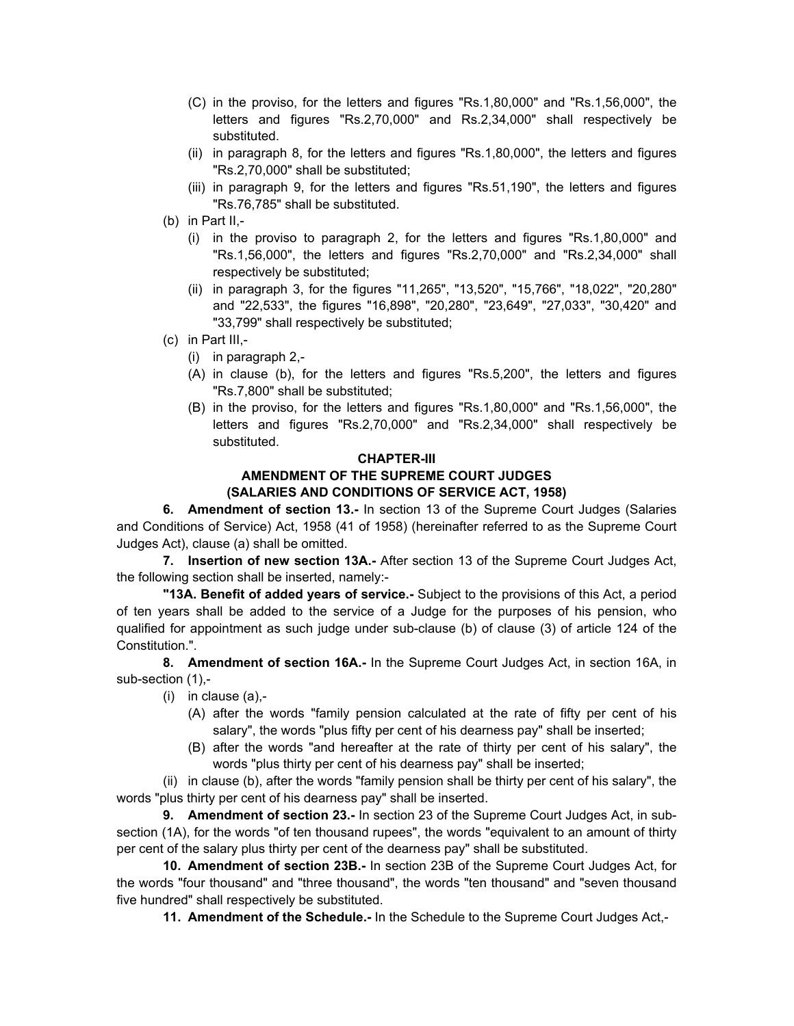- (C) in the proviso, for the letters and figures "Rs.1,80,000" and "Rs.1,56,000", the letters and figures "Rs.2,70,000" and Rs.2,34,000" shall respectively be substituted.
- (ii) in paragraph 8, for the letters and figures "Rs.1,80,000", the letters and figures "Rs.2,70,000" shall be substituted;
- (iii) in paragraph 9, for the letters and figures "Rs.51,190", the letters and figures "Rs.76,785" shall be substituted.
- (b) in Part II,-
	- (i) in the proviso to paragraph 2, for the letters and figures "Rs.1,80,000" and "Rs.1,56,000", the letters and figures "Rs.2,70,000" and "Rs.2,34,000" shall respectively be substituted;
	- (ii) in paragraph 3, for the figures "11,265", "13,520", "15,766", "18,022", "20,280" and "22,533", the figures "16,898", "20,280", "23,649", "27,033", "30,420" and "33,799" shall respectively be substituted;
- (c) in Part III,-
	- (i) in paragraph 2,-
	- (A) in clause (b), for the letters and figures "Rs.5,200", the letters and figures "Rs.7,800" shall be substituted;
	- (B) in the proviso, for the letters and figures "Rs.1,80,000" and "Rs.1,56,000", the letters and figures "Rs.2,70,000" and "Rs.2,34,000" shall respectively be substituted.

### **CHAPTER-III AMENDMENT OF THE SUPREME COURT JUDGES (SALARIES AND CONDITIONS OF SERVICE ACT, 1958)**

**6. Amendment of section 13.-** In section 13 of the Supreme Court Judges (Salaries and Conditions of Service) Act, 1958 (41 of 1958) (hereinafter referred to as the Supreme Court Judges Act), clause (a) shall be omitted.

**7. Insertion of new section 13A.-** After section 13 of the Supreme Court Judges Act, the following section shall be inserted, namely:-

**"13A. Benefit of added years of service.-** Subject to the provisions of this Act, a period of ten years shall be added to the service of a Judge for the purposes of his pension, who qualified for appointment as such judge under sub-clause (b) of clause (3) of article 124 of the Constitution.".

**8. Amendment of section 16A.-** In the Supreme Court Judges Act, in section 16A, in sub-section (1),-

- $(i)$  in clause  $(a)$ ,-
	- (A) after the words "family pension calculated at the rate of fifty per cent of his salary", the words "plus fifty per cent of his dearness pay" shall be inserted;
	- (B) after the words "and hereafter at the rate of thirty per cent of his salary", the words "plus thirty per cent of his dearness pay" shall be inserted;

(ii) in clause (b), after the words "family pension shall be thirty per cent of his salary", the words "plus thirty per cent of his dearness pay" shall be inserted.

**9. Amendment of section 23.-** In section 23 of the Supreme Court Judges Act, in subsection (1A), for the words "of ten thousand rupees", the words "equivalent to an amount of thirty per cent of the salary plus thirty per cent of the dearness pay" shall be substituted.

**10. Amendment of section 23B.-** In section 23B of the Supreme Court Judges Act, for the words "four thousand" and "three thousand", the words "ten thousand" and "seven thousand five hundred" shall respectively be substituted.

**11. Amendment of the Schedule.-** In the Schedule to the Supreme Court Judges Act,-